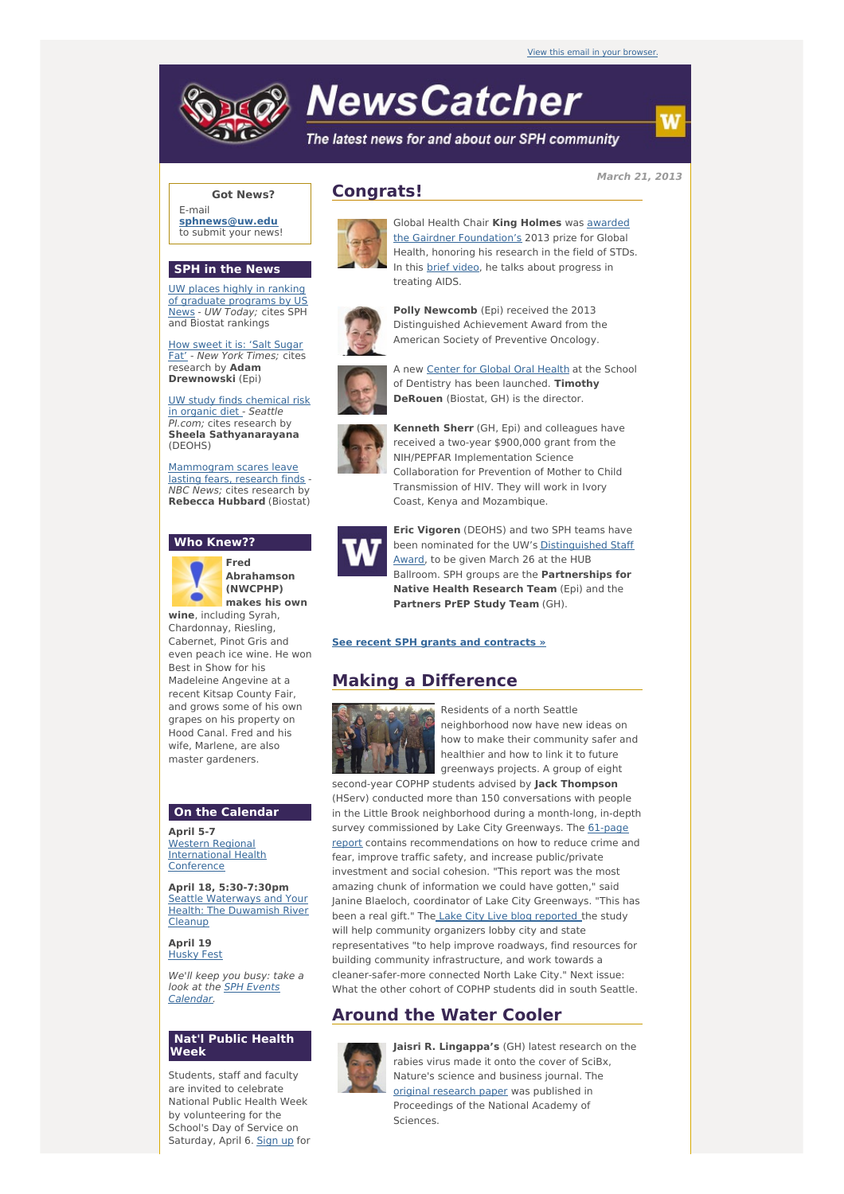# **NewsCatcher**

The latest news for and about our SPH community

**March 21, 2013**

### **Got News?**

E-mail **[sphnews@uw.edu](mailto:sphnews@uw.edu)** to submit your news!

#### **SPH in the News**

UW places highly in ranking of graduate [programs](http://engage.washington.edu/site/R?i=kTCPDclJ3LYgan2CBwWdpg) by US News - UW Today; cites SPH and Biostat rankings

How sweet it is: 'Salt Sugar Fat' - New York [Times;](http://engage.washington.edu/site/R?i=wiE5im9S3tT4ZeO--3iNFQ) cites research by **Adam Drewnowski** (Epi)

UW study finds [chemical](http://engage.washington.edu/site/R?i=e9LkrRo_K9tkkt-o0Gf5NA) risk in organic diet - Seattle PI.com; cites research by **Sheela Sathyanarayana** (DEOHS)

[Mammogram](http://engage.washington.edu/site/R?i=h7SlWJnoJMXuVPp8VcZKsQ) scares leave lasting fears, research finds - NBC News; cites research by **Rebecca Hubbard** (Biostat)

#### **Who Knew??**



**Abrahamson (NWCPHP) makes his own**

**wine**, including Syrah, Chardonnay, Riesling, Cabernet, Pinot Gris and even peach ice wine. He won Best in Show for his Madeleine Angevine at a recent Kitsap County Fair, and grows some of his own grapes on his property on Hood Canal. Fred and his wife, Marlene, are also master gardeners.

#### **On the Calendar**

**April 5-7** Western Regional [International](http://engage.washington.edu/site/R?i=oi-hQAVNhaNxhIMpbU9Png) Health **Conference** 

**April 18, 5:30-7:30pm** Seattle [Waterways](http://engage.washington.edu/site/R?i=esRzFUYQdE8T_pxsix9HFg) and Your Health: The Duwamish River **Cleanup** 

**April 19** [Husky](http://engage.washington.edu/site/R?i=gjM6AVapIDGqwiwVtxpW4g) Fest

We'll keep you busy: take a look at the SPH Events [Calendar.](http://engage.washington.edu/site/R?i=NO6sZ6sLTQP1C2pci1jWUw)

#### **Nat'l Public Health Week**

Students, staff and faculty are invited to celebrate National Public Health Week by volunteering for the School's Day of Service on Saturday, April 6. [Sign](http://engage.washington.edu/site/R?i=THBoXbYMyjB1vASc9hNrHA) up for

## **Congrats!**



Global Health Chair **King Holmes** was awarded the Gairdner [Foundation's](http://engage.washington.edu/site/R?i=azUMOD4HM5yB3E6g9ykhJA) 2013 prize for Global Health, honoring his research in the field of STDs. In this brief [video](http://engage.washington.edu/site/R?i=Y87_caC4swz8rZz8AWt09g), he talks about progress in treating AIDS.



**Polly Newcomb** (Epi) received the 2013 Distinguished Achievement Award from the American Society of Preventive Oncology.



A new [Center](http://engage.washington.edu/site/R?i=DNazfPQygSyW3auPjEqNtA) for Global Oral Health at the School of Dentistry has been launched. **Timothy DeRouen** (Biostat, GH) is the director.



**Kenneth Sherr** (GH, Epi) and colleagues have received a two-year \$900,000 grant from the NIH/PEPFAR Implementation Science Collaboration for Prevention of Mother to Child Transmission of HIV. They will work in Ivory Coast, Kenya and Mozambique.



**Eric Vigoren** (DEOHS) and two SPH teams have been nominated for the UW's [Distinguished](http://engage.washington.edu/site/R?i=lmJX9pnbcK7u0J3qrymDHw) Staff Award, to be given March 26 at the HUB Ballroom. SPH groups are the **Partnerships for Native Health Research Team** (Epi) and the **Partners PrEP Study Team** (GH).

#### **See recent SPH grants and [contracts](http://engage.washington.edu/site/R?i=JxuNbPLwF0k3ySyhm48P5w) »**

# **Making a Difference**



Residents of a north Seattle neighborhood now have new ideas on how to make their community safer and healthier and how to link it to future greenways projects. A group of eight

second-year COPHP students advised by **Jack Thompson** (HServ) conducted more than 150 conversations with people in the Little Brook neighborhood during a month-long, in-depth survey commissioned by Lake City Greenways. The 61-page report contains [recommendations](http://engage.washington.edu/site/R?i=VfInvulYM5YWp8iGcwHhWw) on how to reduce crime and fear, improve traffic safety, and increase public/private investment and social cohesion. "This report was the most amazing chunk of information we could have gotten," said Janine Blaeloch, coordinator of Lake City Greenways. "This has been a real gift." The Lake City Live blog [reported](http://engage.washington.edu/site/R?i=zmr1jrKnBJEjrvSkNab7pw) the study will help community organizers lobby city and state representatives "to help improve roadways, find resources for building community infrastructure, and work towards a cleaner-safer-more connected North Lake City." Next issue: What the other cohort of COPHP students did in south Seattle.

# **Around the Water Cooler**



**Jaisri R. Lingappa's** (GH) latest research on the rabies virus made it onto the cover of SciBx, Nature's science and business journal. The original [research](http://engage.washington.edu/site/R?i=uuylAWVZolOxcYGUY50lWQ) paper was published in Proceedings of the National Academy of Sciences.